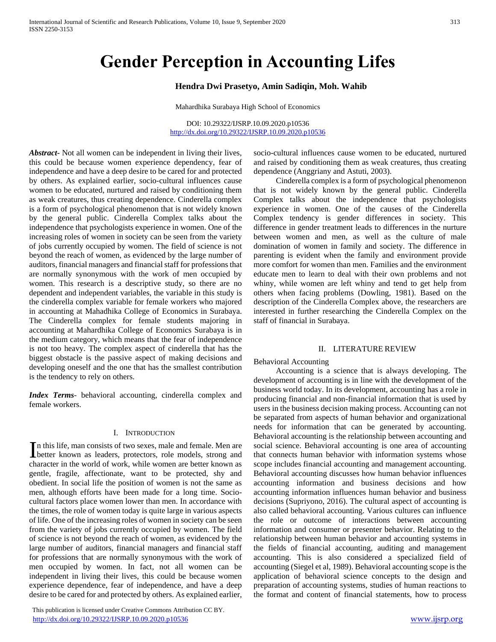# **Gender Perception in Accounting Lifes**

# **Hendra Dwi Prasetyo, Amin Sadiqin, Moh. Wahib**

Mahardhika Surabaya High School of Economics

DOI: 10.29322/IJSRP.10.09.2020.p10536 <http://dx.doi.org/10.29322/IJSRP.10.09.2020.p10536>

*Abstract***-** Not all women can be independent in living their lives, this could be because women experience dependency, fear of independence and have a deep desire to be cared for and protected by others. As explained earlier, socio-cultural influences cause women to be educated, nurtured and raised by conditioning them as weak creatures, thus creating dependence. Cinderella complex is a form of psychological phenomenon that is not widely known by the general public. Cinderella Complex talks about the independence that psychologists experience in women. One of the increasing roles of women in society can be seen from the variety of jobs currently occupied by women. The field of science is not beyond the reach of women, as evidenced by the large number of auditors, financial managers and financial staff for professions that are normally synonymous with the work of men occupied by women. This research is a descriptive study, so there are no dependent and independent variables, the variable in this study is the cinderella complex variable for female workers who majored in accounting at Mahadhika College of Economics in Surabaya. The Cinderella complex for female students majoring in accounting at Mahardhika College of Economics Surabaya is in the medium category, which means that the fear of independence is not too heavy. The complex aspect of cinderella that has the biggest obstacle is the passive aspect of making decisions and developing oneself and the one that has the smallest contribution is the tendency to rely on others.

*Index Terms*- behavioral accounting, cinderella complex and female workers.

### I. INTRODUCTION

n this life, man consists of two sexes, male and female. Men are In this life, man consists of two sexes, male and female. Men are better known as leaders, protectors, role models, strong and character in the world of work, while women are better known as gentle, fragile, affectionate, want to be protected, shy and obedient. In social life the position of women is not the same as men, although efforts have been made for a long time. Sociocultural factors place women lower than men. In accordance with the times, the role of women today is quite large in various aspects of life. One of the increasing roles of women in society can be seen from the variety of jobs currently occupied by women. The field of science is not beyond the reach of women, as evidenced by the large number of auditors, financial managers and financial staff for professions that are normally synonymous with the work of men occupied by women. In fact, not all women can be independent in living their lives, this could be because women experience dependence, fear of independence, and have a deep desire to be cared for and protected by others. As explained earlier,

 This publication is licensed under Creative Commons Attribution CC BY. <http://dx.doi.org/10.29322/IJSRP.10.09.2020.p10536> [www.ijsrp.org](http://ijsrp.org/)

socio-cultural influences cause women to be educated, nurtured and raised by conditioning them as weak creatures, thus creating dependence (Anggriany and Astuti, 2003).

 Cinderella complex is a form of psychological phenomenon that is not widely known by the general public. Cinderella Complex talks about the independence that psychologists experience in women. One of the causes of the Cinderella Complex tendency is gender differences in society. This difference in gender treatment leads to differences in the nurture between women and men, as well as the culture of male domination of women in family and society. The difference in parenting is evident when the family and environment provide more comfort for women than men. Families and the environment educate men to learn to deal with their own problems and not whiny, while women are left whiny and tend to get help from others when facing problems (Dowling, 1981). Based on the description of the Cinderella Complex above, the researchers are interested in further researching the Cinderella Complex on the staff of financial in Surabaya.

#### II. LITERATURE REVIEW

#### Behavioral Accounting

 Accounting is a science that is always developing. The development of accounting is in line with the development of the business world today. In its development, accounting has a role in producing financial and non-financial information that is used by users in the business decision making process. Accounting can not be separated from aspects of human behavior and organizational needs for information that can be generated by accounting. Behavioral accounting is the relationship between accounting and social science. Behavioral accounting is one area of accounting that connects human behavior with information systems whose scope includes financial accounting and management accounting. Behavioral accounting discusses how human behavior influences accounting information and business decisions and how accounting information influences human behavior and business decisions (Supriyono, 2016). The cultural aspect of accounting is also called behavioral accounting. Various cultures can influence the role or outcome of interactions between accounting information and consumer or presenter behavior. Relating to the relationship between human behavior and accounting systems in the fields of financial accounting, auditing and management accounting. This is also considered a specialized field of accounting (Siegel et al, 1989). Behavioral accounting scope is the application of behavioral science concepts to the design and preparation of accounting systems, studies of human reactions to the format and content of financial statements, how to process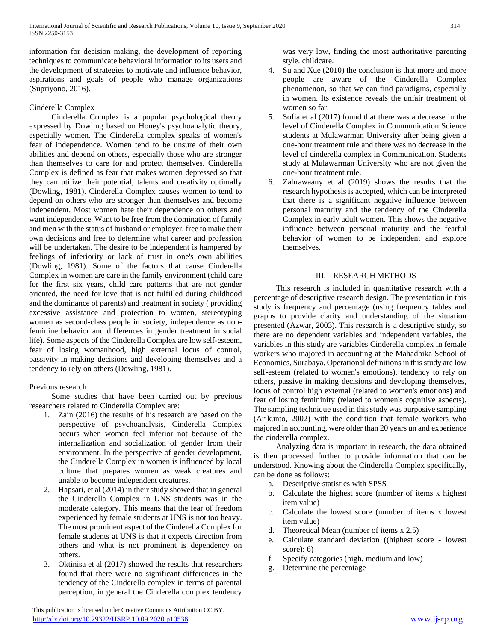information for decision making, the development of reporting techniques to communicate behavioral information to its users and the development of strategies to motivate and influence behavior, aspirations and goals of people who manage organizations (Supriyono, 2016).

# Cinderella Complex

 Cinderella Complex is a popular psychological theory expressed by Dowling based on Honey's psychoanalytic theory, especially women. The Cinderella complex speaks of women's fear of independence. Women tend to be unsure of their own abilities and depend on others, especially those who are stronger than themselves to care for and protect themselves. Cinderella Complex is defined as fear that makes women depressed so that they can utilize their potential, talents and creativity optimally (Dowling, 1981). Cinderella Complex causes women to tend to depend on others who are stronger than themselves and become independent. Most women hate their dependence on others and want independence. Want to be free from the domination of family and men with the status of husband or employer, free to make their own decisions and free to determine what career and profession will be undertaken. The desire to be independent is hampered by feelings of inferiority or lack of trust in one's own abilities (Dowling, 1981). Some of the factors that cause Cinderella Complex in women are care in the family environment (child care for the first six years, child care patterns that are not gender oriented, the need for love that is not fulfilled during childhood and the dominance of parents) and treatment in society ( providing excessive assistance and protection to women, stereotyping women as second-class people in society, independence as nonfeminine behavior and differences in gender treatment in social life). Some aspects of the Cinderella Complex are low self-esteem, fear of losing womanhood, high external locus of control, passivity in making decisions and developing themselves and a tendency to rely on others (Dowling, 1981).

# Previous research

 Some studies that have been carried out by previous researchers related to Cinderella Complex are:

- 1. Zain (2016) the results of his research are based on the perspective of psychoanalysis, Cinderella Complex occurs when women feel inferior not because of the internalization and socialization of gender from their environment. In the perspective of gender development, the Cinderella Complex in women is influenced by local culture that prepares women as weak creatures and unable to become independent creatures.
- Hapsari, et al (2014) in their study showed that in general the Cinderella Complex in UNS students was in the moderate category. This means that the fear of freedom experienced by female students at UNS is not too heavy. The most prominent aspect of the Cinderella Complex for female students at UNS is that it expects direction from others and what is not prominent is dependency on others.
- 3. Oktinisa et al (2017) showed the results that researchers found that there were no significant differences in the tendency of the Cinderella complex in terms of parental perception, in general the Cinderella complex tendency

was very low, finding the most authoritative parenting style. childcare.

- 4. Su and Xue (2010) the conclusion is that more and more people are aware of the Cinderella Complex phenomenon, so that we can find paradigms, especially in women. Its existence reveals the unfair treatment of women so far.
- 5. Sofia et al (2017) found that there was a decrease in the level of Cinderella Complex in Communication Science students at Mulawarman University after being given a one-hour treatment rule and there was no decrease in the level of cinderella complex in Communication. Students study at Mulawarman University who are not given the one-hour treatment rule.
- 6. Zahrawaany et al (2019) shows the results that the research hypothesis is accepted, which can be interpreted that there is a significant negative influence between personal maturity and the tendency of the Cinderella Complex in early adult women. This shows the negative influence between personal maturity and the fearful behavior of women to be independent and explore themselves.

# III. RESEARCH METHODS

 This research is included in quantitative research with a percentage of descriptive research design. The presentation in this study is frequency and percentage (using frequency tables and graphs to provide clarity and understanding of the situation presented (Azwar, 2003). This research is a descriptive study, so there are no dependent variables and independent variables, the variables in this study are variables Cinderella complex in female workers who majored in accounting at the Mahadhika School of Economics, Surabaya. Operational definitions in this study are low self-esteem (related to women's emotions), tendency to rely on others, passive in making decisions and developing themselves, locus of control high external (related to women's emotions) and fear of losing femininity (related to women's cognitive aspects). The sampling technique used in this study was purposive sampling (Arikunto, 2002) with the condition that female workers who majored in accounting, were older than 20 years un and experience the cinderella complex.

 Analyzing data is important in research, the data obtained is then processed further to provide information that can be understood. Knowing about the Cinderella Complex specifically, can be done as follows:

- a. Descriptive statistics with SPSS
- b. Calculate the highest score (number of items x highest item value)
- c. Calculate the lowest score (number of items x lowest item value)
- d. Theoretical Mean (number of items x 2.5)
- e. Calculate standard deviation ((highest score lowest score): 6)
- f. Specify categories (high, medium and low)
- g. Determine the percentage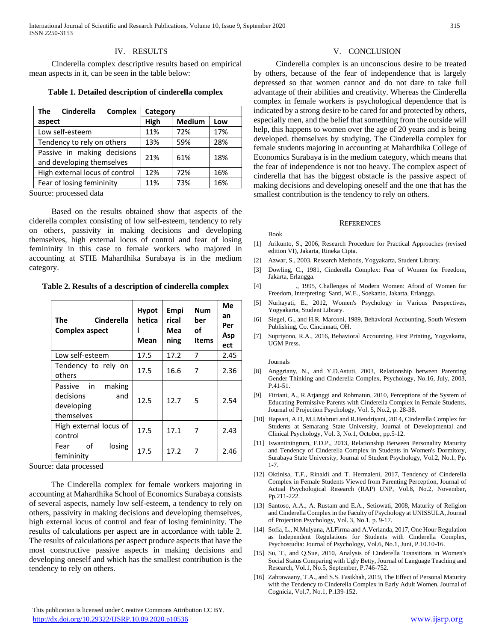## IV. RESULTS

 Cinderella complex descriptive results based on empirical mean aspects in it, can be seen in the table below:

**Table 1. Detailed description of cinderella complex**

| <b>Cinderella</b><br><b>Complex</b><br>The | Category |               |     |  |
|--------------------------------------------|----------|---------------|-----|--|
| aspect                                     | High     | <b>Medium</b> | Low |  |
| Low self-esteem                            | 11%      | 72%           | 17% |  |
| Tendency to rely on others                 | 13%      | 59%           | 28% |  |
| Passive in making decisions                | 21%      | 61%           | 18% |  |
| and developing themselves                  |          |               |     |  |
| High external locus of control             | 12%      | 72%           | 16% |  |
| Fear of losing femininity                  | 11%      | 73%           | 16% |  |

Source: processed data

 Based on the results obtained show that aspects of the ciderella complex consisting of low self-esteem, tendency to rely on others, passivity in making decisions and developing themselves, high external locus of control and fear of losing femininity in this case to female workers who majored in accounting at STIE Mahardhika Surabaya is in the medium category.

**Table 2. Results of a description of cinderella complex**

| Cinderella<br>The<br><b>Complex aspect</b>                           | <b>Hypot</b><br>hetica<br>Mean | Empi<br>rical<br>Mea<br>ning | Num<br>ber<br>οf<br><b>Items</b> | Me<br>an<br>Per<br>Asp<br>ect |
|----------------------------------------------------------------------|--------------------------------|------------------------------|----------------------------------|-------------------------------|
| Low self-esteem                                                      | 17.5                           | 17.2                         | 7                                | 2.45                          |
| Tendency to rely on<br>others                                        | 17.5                           | 16.6                         | 7                                | 2.36                          |
| making<br>Passive in<br>decisions<br>and<br>developing<br>themselves | 12.5                           | 12.7                         | 5                                | 2.54                          |
| High external locus of<br>control                                    | 17.5                           | 17.1                         | 7                                | 2.43                          |
| of<br>losing<br>Fear<br>femininity                                   | 17.5                           | 17.2                         | 7                                | 2.46                          |

Source: data processed

 The Cinderella complex for female workers majoring in accounting at Mahardhika School of Economics Surabaya consists of several aspects, namely low self-esteem, a tendency to rely on others, passivity in making decisions and developing themselves, high external locus of control and fear of losing femininity. The results of calculations per aspect are in accordance with table 2. The results of calculations per aspect produce aspects that have the most constructive passive aspects in making decisions and developing oneself and which has the smallest contribution is the tendency to rely on others.

#### V. CONCLUSION

 Cinderella complex is an unconscious desire to be treated by others, because of the fear of independence that is largely depressed so that women cannot and do not dare to take full advantage of their abilities and creativity. Whereas the Cinderella complex in female workers is psychological dependence that is indicated by a strong desire to be cared for and protected by others, especially men, and the belief that something from the outside will help, this happens to women over the age of 20 years and is being developed. themselves by studying. The Cinderella complex for female students majoring in accounting at Mahardhika College of Economics Surabaya is in the medium category, which means that the fear of independence is not too heavy. The complex aspect of cinderella that has the biggest obstacle is the passive aspect of making decisions and developing oneself and the one that has the smallest contribution is the tendency to rely on others.

#### **REFERENCES**

#### Book

- [1] Arikunto, S., 2006, Research Procedure for Practical Approaches (revised edition VI), Jakarta, Rineka Cipta.
- [2] Azwar, S., 2003, Research Methods, Yogyakarta, Student Library.
- [3] Dowling, C., 1981, Cinderella Complex: Fear of Women for Freedom, Jakarta, Erlangga.
- [4] ., 1995, Challenges of Modern Women: Afraid of Women for Freedom, Interpreting: Santi, W.E., Soekanto, Jakarta, Erlangga.
- [5] Nurhayati, E., 2012, Women's Psychology in Various Perspectives, Yogyakarta, Student Library.
- [6] Siegel, G., and H.R. Marconi, 1989, Behavioral Accounting, South Western Publishing, Co. Cincinnati, OH.
- [7] Supriyono, R.A., 2016, Behavioral Accounting, First Printing, Yogyakarta, UGM Press.

#### Journals

- [8] Anggriany, N., and Y.D.Astuti, 2003, Relationship between Parenting Gender Thinking and Cinderella Complex, Psychology, No.16, July, 2003, P.41-51.
- [9] Fitriani, A., R.Arjanggi and Rohmatun, 2010, Perceptions of the System of Educating Permissive Parents with Cinderella Complex in Female Students, Journal of Projection Psychology, Vol. 5, No.2, p. 28-38.
- [10] Hapsari, A.D, M.I.Mabruri and R.Hendriyani, 2014, Cinderella Complex for Students at Semarang State University, Journal of Developmental and Clinical Psychology, Vol. 3, No.1, October, pp.5-12.
- [11] Iswantiningrum, F.D.P., 2013, Relationship Between Personality Maturity and Tendency of Cinderella Complex in Students in Women's Dormitory, Surabaya State University, Journal of Student Psychology, Vol.2, No.1, Pp. 1-7.
- [12] Oktinisa, T.F., Rinaldi and T. Hermaleni, 2017, Tendency of Cinderella Complex in Female Students Viewed from Parenting Perception, Journal of Actual Psychological Research (RAP) UNP, Vol.8, No.2, November, Pp.211-222.
- [13] Santoso, A.A., A. Rustam and E.A., Setiowati, 2008, Maturity of Religion and Cinderella Complex in the Faculty of Psychology at UNISSULA, Journal of Projection Psychology, Vol. 3, No.1, p. 9-17.
- [14] Sofia, L., N.Mulyana, ALFirma and A.Verlanda, 2017, One Hour Regulation as Independent Regulations for Students with Cinderella Complex, Psychostudia: Journal of Psychology, Vol.6, No.1, Juni, P.10.10-16.
- [15] Su, T., and Q.Sue, 2010, Analysis of Cinderella Transitions in Women's Social Status Comparing with Ugly Betty, Journal of Language Teaching and Research, Vol.1, No.5, September, P.746-752.
- [16] Zahrawaany, T.A., and S.S. Fasikhah, 2019, The Effect of Personal Maturity with the Tendency to Cinderella Complex in Early Adult Women, Journal of Cognicia, Vol.7, No.1, P.139-152.